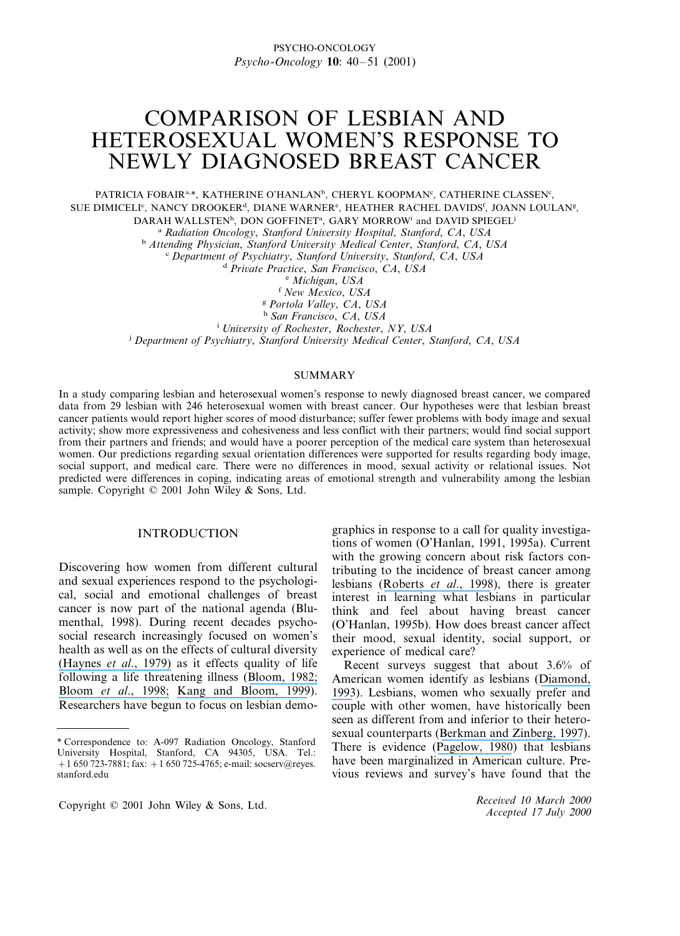# COMPARISON OF LESBIAN AND HETEROSEXUAL WOMEN'S RESPONSE TO NEWLY DIAGNOSED BREAST CANCER

PATRICIA FOBAIR<sup>a,\*</sup>, KATHERINE O'HANLAN<sup>b</sup>, CHERYL KOOPMAN<sup>c</sup>, CATHERINE CLASSEN<sup>c</sup>, SUE DIMICELI<sup>e</sup>, NANCY DROOKER<sup>d</sup>, DIANE WARNER<sup>e</sup>, HEATHER RACHEL DAVIDS<sup>f</sup>, JOANN LOULAN<sup>g</sup>, DARAH WALLSTEN<sup>h</sup>, DON GOFFINET<sup>a</sup>, GARY MORROW<sup>i</sup> and DAVID SPIEGEL<sup>j</sup> <sup>a</sup> Radiation Oncology, Stanford University Hospital, Stanford, CA, USA<br>
<sup>b</sup> Attending Physician, Stanford University Medical Center, Stanford, CA, USA<br>
<sup>c</sup> Department of Psychiatry, Stanford University, Stanford, CA, USA<br> <sup>j</sup> Department of Psychiatry, Stanford University Medical Center, Stanford, CA, USA

## SUMMARY

In a study comparing lesbian and heterosexual women's response to newly diagnosed breast cancer, we compared data from 29 lesbian with 246 heterosexual women with breast cancer. Our hypotheses were that lesbian breast cancer patients would report higher scores of mood disturbance; suffer fewer problems with body image and sexual activity; show more expressiveness and cohesiveness and less conflict with their partners; would find social support from their partners and friends; and would have a poorer perception of the medical care system than heterosexual women. Our predictions regarding sexual orientation differences were supported for results regarding body image, social support, and medical care. There were no differences in mood, sexual activity or relational issues. Not predicted were differences in coping, indicating areas of emotional strength and vulnerability among the lesbian sample. Copyright © 2001 John Wiley & Sons, Ltd.

#### INTRODUCTION

Discovering how women from different cultural and sexual experiences respond to the psychological, social and emotional challenges of breast cancer is now part of the national agenda (Blumenthal, 1998). During recent decades psychosocial research increasingly focused on women's health as well as on the effects of cultural diversity (Haynes *et al*., 1979) as it effects quality of life following a life threatening illness (Bloom, 1982; Bloom *et al*., 1998; Kang and Bloom, 1999). Researchers have begun to focus on lesbian demographics in response to a call for quality investigations of women (O'Hanlan, 1991, 1995a). Current with the growing concern about risk factors contributing to the incidence of breast cancer among lesbians (Roberts *et al*., 1998), there is greater interest in learning what lesbians in particular think and feel about having breast cancer (O'Hanlan, 1995b). How does breast cancer affect their mood, sexual identity, social support, or experience of medical care?

Recent surveys suggest that about 3.6% of American women identify as lesbians (Diamond, 1993). Lesbians, women who sexually prefer and couple with other women, have historically been seen as different from and inferior to their heterosexual counterparts (Berkman and Zinberg, 1997). There is evidence (Pagelow, 1980) that lesbians have been marginalized in American culture. Previous reviews and survey's have found that the

Copyright © 2001 John Wiley & Sons, Ltd. *Received* 10 *March* 2000

*Accepted* 17 *July* 2000

<sup>\*</sup> Correspondence to: A-097 Radiation Oncology, Stanford University Hospital, Stanford, CA 94305, USA. Tel.:  $+1$  650 723-7881; fax:  $+1$  650 725-4765; e-mail: socserv@reyes. stanford.edu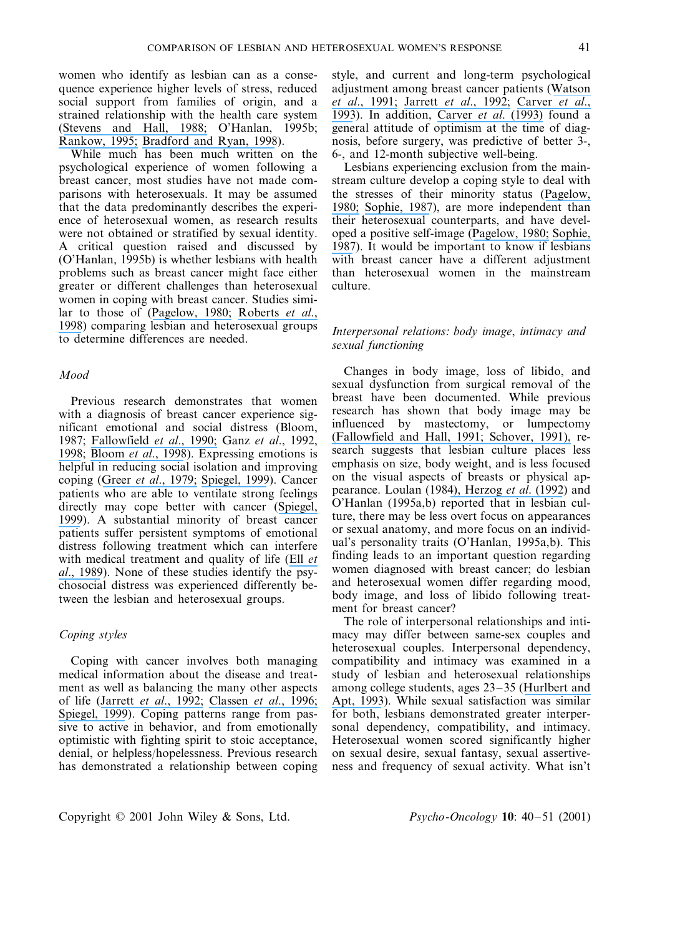women who identify as lesbian can as a consequence experience higher levels of stress, reduced social support from families of origin, and a strained relationship with the health care system (Stevens and Hall, 1988; O'Hanlan, 1995b; Rankow, 1995; Bradford and Ryan, 1998).

While much has been much written on the psychological experience of women following a breast cancer, most studies have not made comparisons with heterosexuals. It may be assumed that the data predominantly describes the experience of heterosexual women, as research results were not obtained or stratified by sexual identity. A critical question raised and discussed by (O'Hanlan, 1995b) is whether lesbians with health problems such as breast cancer might face either greater or different challenges than heterosexual women in coping with breast cancer. Studies similar to those of (Pagelow, 1980; Roberts *et al*., 1998) comparing lesbian and heterosexual groups to determine differences are needed.

#### *Mood*

Previous research demonstrates that women with a diagnosis of breast cancer experience significant emotional and social distress (Bloom, 1987; Fallowfield *et al*., 1990; Ganz *et al*., 1992, 1998; Bloom *et al*., 1998). Expressing emotions is helpful in reducing social isolation and improving coping (Greer *et al*., 1979; Spiegel, 1999). Cancer patients who are able to ventilate strong feelings directly may cope better with cancer (Spiegel, 1999). A substantial minority of breast cancer patients suffer persistent symptoms of emotional distress following treatment which can interfere with medical treatment and quality of life (Ell *et al*., 1989). None of these studies identify the psychosocial distress was experienced differently between the lesbian and heterosexual groups.

## *Coping styles*

Coping with cancer involves both managing medical information about the disease and treatment as well as balancing the many other aspects of life (Jarrett *et al*., 1992; Classen *et al*., 1996; Spiegel, 1999). Coping patterns range from passive to active in behavior, and from emotionally optimistic with fighting spirit to stoic acceptance, denial, or helpless/hopelessness. Previous research has demonstrated a relationship between coping style, and current and long-term psychological adjustment among breast cancer patients (Watson *et al*., 1991; Jarrett *et al*., 1992; Carver *et al*., 1993). In addition, Carver *et al*. (1993) found a general attitude of optimism at the time of diagnosis, before surgery, was predictive of better 3-, 6-, and 12-month subjective well-being.

Lesbians experiencing exclusion from the mainstream culture develop a coping style to deal with the stresses of their minority status (Pagelow, 1980; Sophie, 1987), are more independent than their heterosexual counterparts, and have developed a positive self-image (Pagelow, 1980; Sophie, 1987). It would be important to know if lesbians with breast cancer have a different adjustment than heterosexual women in the mainstream culture.

## *Interpersonal relations*: *body image*, *intimacy and sexual functioning*

Changes in body image, loss of libido, and sexual dysfunction from surgical removal of the breast have been documented. While previous research has shown that body image may be influenced by mastectomy, or lumpectomy (Fallowfield and Hall, 1991; Schover, 1991), research suggests that lesbian culture places less emphasis on size, body weight, and is less focused on the visual aspects of breasts or physical appearance. Loulan (1984), Herzog *et al*. (1992) and O'Hanlan (1995a,b) reported that in lesbian culture, there may be less overt focus on appearances or sexual anatomy, and more focus on an individual's personality traits (O'Hanlan, 1995a,b). This finding leads to an important question regarding women diagnosed with breast cancer; do lesbian and heterosexual women differ regarding mood, body image, and loss of libido following treatment for breast cancer?

The role of interpersonal relationships and intimacy may differ between same-sex couples and heterosexual couples. Interpersonal dependency, compatibility and intimacy was examined in a study of lesbian and heterosexual relationships among college students, ages 23–35 (Hurlbert and Apt, 1993). While sexual satisfaction was similar for both, lesbians demonstrated greater interpersonal dependency, compatibility, and intimacy. Heterosexual women scored significantly higher on sexual desire, sexual fantasy, sexual assertiveness and frequency of sexual activity. What isn't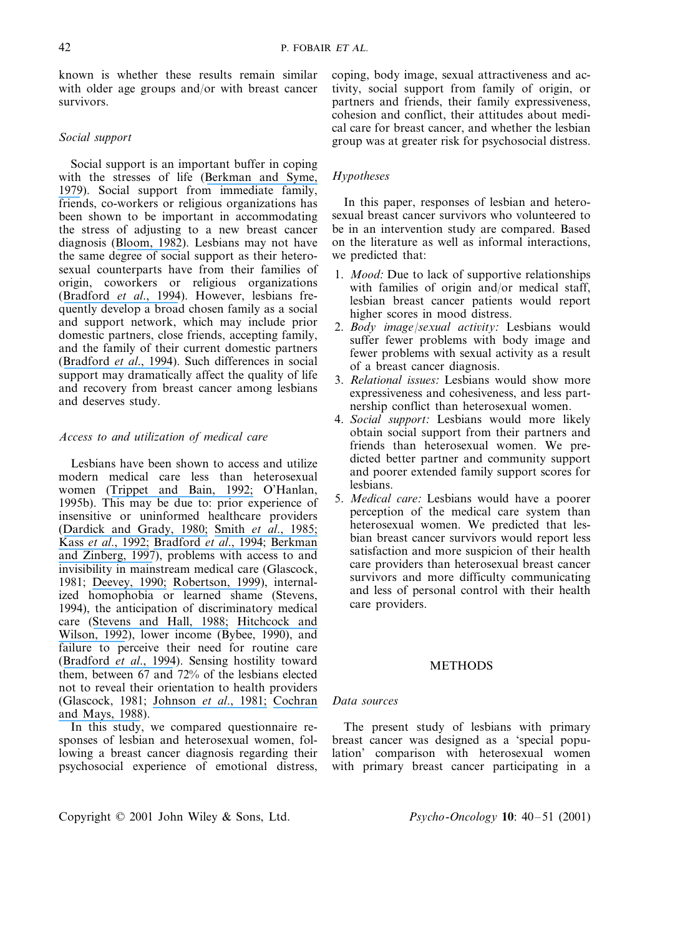known is whether these results remain similar with older age groups and/or with breast cancer survivors.

## *Social support*

Social support is an important buffer in coping with the stresses of life (Berkman and Syme, 1979). Social support from immediate family, friends, co-workers or religious organizations has been shown to be important in accommodating the stress of adjusting to a new breast cancer diagnosis (Bloom, 1982). Lesbians may not have the same degree of social support as their heterosexual counterparts have from their families of origin, coworkers or religious organizations (Bradford *et al*., 1994). However, lesbians frequently develop a broad chosen family as a social and support network, which may include prior domestic partners, close friends, accepting family, and the family of their current domestic partners (Bradford *et al*., 1994). Such differences in social support may dramatically affect the quality of life and recovery from breast cancer among lesbians and deserves study.

#### *Access to and utilization of medical care*

Lesbians have been shown to access and utilize modern medical care less than heterosexual women (Trippet and Bain, 1992; O'Hanlan, 1995b). This may be due to: prior experience of insensitive or uninformed healthcare providers (Dardick and Grady, 1980; Smith *et al*., 1985; Kass *et al*., 1992; Bradford *et al*., 1994; Berkman and Zinberg, 1997), problems with access to and invisibility in mainstream medical care (Glascock, 1981; Deevey, 1990; Robertson, 1999), internalized homophobia or learned shame (Stevens, 1994), the anticipation of discriminatory medical care (Stevens and Hall, 1988; Hitchcock and Wilson, 1992), lower income (Bybee, 1990), and failure to perceive their need for routine care (Bradford *et al*., 1994). Sensing hostility toward them, between 67 and 72% of the lesbians elected not to reveal their orientation to health providers (Glascock, 1981; Johnson *et al*., 1981; Cochran and Mays, 1988).

In this study, we compared questionnaire responses of lesbian and heterosexual women, following a breast cancer diagnosis regarding their psychosocial experience of emotional distress, coping, body image, sexual attractiveness and activity, social support from family of origin, or partners and friends, their family expressiveness, cohesion and conflict, their attitudes about medical care for breast cancer, and whether the lesbian group was at greater risk for psychosocial distress.

#### *Hypotheses*

In this paper, responses of lesbian and heterosexual breast cancer survivors who volunteered to be in an intervention study are compared. Based on the literature as well as informal interactions, we predicted that:

- 1. *Mood*: Due to lack of supportive relationships with families of origin and/or medical staff, lesbian breast cancer patients would report higher scores in mood distress.
- 2. *Body image*/*sexual activity*: Lesbians would suffer fewer problems with body image and fewer problems with sexual activity as a result of a breast cancer diagnosis.
- 3. *Relational issues*: Lesbians would show more expressiveness and cohesiveness, and less partnership conflict than heterosexual women.
- 4. *Social support*: Lesbians would more likely obtain social support from their partners and friends than heterosexual women. We predicted better partner and community support and poorer extended family support scores for lesbians.
- 5. *Medical care*: Lesbians would have a poorer perception of the medical care system than heterosexual women. We predicted that lesbian breast cancer survivors would report less satisfaction and more suspicion of their health care providers than heterosexual breast cancer survivors and more difficulty communicating and less of personal control with their health care providers.

## **METHODS**

#### *Data sources*

The present study of lesbians with primary breast cancer was designed as a 'special population' comparison with heterosexual women with primary breast cancer participating in a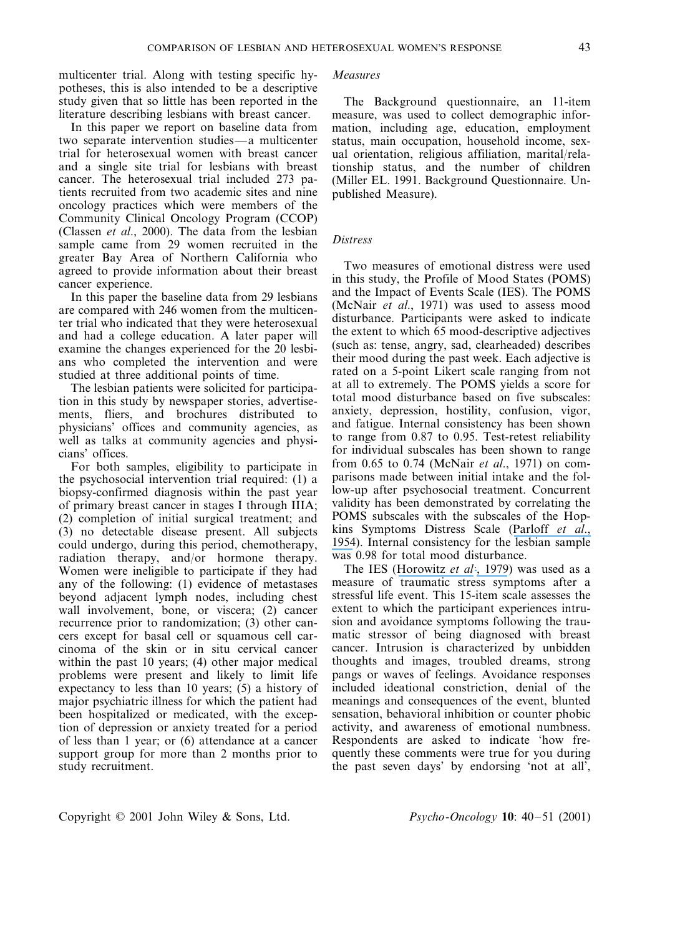multicenter trial. Along with testing specific hypotheses, this is also intended to be a descriptive study given that so little has been reported in the literature describing lesbians with breast cancer.

In this paper we report on baseline data from two separate intervention studies—a multicenter trial for heterosexual women with breast cancer and a single site trial for lesbians with breast cancer. The heterosexual trial included 273 patients recruited from two academic sites and nine oncology practices which were members of the Community Clinical Oncology Program (CCOP) (Classen *et al*., 2000). The data from the lesbian sample came from 29 women recruited in the greater Bay Area of Northern California who agreed to provide information about their breast cancer experience.

In this paper the baseline data from 29 lesbians are compared with 246 women from the multicenter trial who indicated that they were heterosexual and had a college education. A later paper will examine the changes experienced for the 20 lesbians who completed the intervention and were studied at three additional points of time.

The lesbian patients were solicited for participation in this study by newspaper stories, advertisements, fliers, and brochures distributed to physicians' offices and community agencies, as well as talks at community agencies and physicians' offices.

For both samples, eligibility to participate in the psychosocial intervention trial required: (1) a biopsy-confirmed diagnosis within the past year of primary breast cancer in stages I through IIIA; (2) completion of initial surgical treatment; and (3) no detectable disease present. All subjects could undergo, during this period, chemotherapy, radiation therapy, and/or hormone therapy. Women were ineligible to participate if they had any of the following: (1) evidence of metastases beyond adjacent lymph nodes, including chest wall involvement, bone, or viscera; (2) cancer recurrence prior to randomization; (3) other cancers except for basal cell or squamous cell carcinoma of the skin or in situ cervical cancer within the past 10 years; (4) other major medical problems were present and likely to limit life expectancy to less than 10 years; (5) a history of major psychiatric illness for which the patient had been hospitalized or medicated, with the exception of depression or anxiety treated for a period of less than 1 year; or (6) attendance at a cancer support group for more than 2 months prior to study recruitment.

#### *Measures*

The Background questionnaire, an 11-item measure, was used to collect demographic information, including age, education, employment status, main occupation, household income, sexual orientation, religious affiliation, marital/relationship status, and the number of children (Miller EL. 1991. Background Questionnaire. Unpublished Measure).

#### *Distress*

Two measures of emotional distress were used in this study, the Profile of Mood States (POMS) and the Impact of Events Scale (IES). The POMS (McNair *et al*., 1971) was used to assess mood disturbance. Participants were asked to indicate the extent to which 65 mood-descriptive adjectives (such as: tense, angry, sad, clearheaded) describes their mood during the past week. Each adjective is rated on a 5-point Likert scale ranging from not at all to extremely. The POMS yields a score for total mood disturbance based on five subscales: anxiety, depression, hostility, confusion, vigor, and fatigue. Internal consistency has been shown to range from 0.87 to 0.95. Test-retest reliability for individual subscales has been shown to range from 0.65 to 0.74 (McNair *et al*., 1971) on comparisons made between initial intake and the follow-up after psychosocial treatment. Concurrent validity has been demonstrated by correlating the POMS subscales with the subscales of the Hopkins Symptoms Distress Scale (Parloff *et al*., 1954). Internal consistency for the lesbian sample was 0.98 for total mood disturbance.

The IES (Horowitz et al., 1979) was used as a measure of traumatic stress symptoms after a stressful life event. This 15-item scale assesses the extent to which the participant experiences intrusion and avoidance symptoms following the traumatic stressor of being diagnosed with breast cancer. Intrusion is characterized by unbidden thoughts and images, troubled dreams, strong pangs or waves of feelings. Avoidance responses included ideational constriction, denial of the meanings and consequences of the event, blunted sensation, behavioral inhibition or counter phobic activity, and awareness of emotional numbness. Respondents are asked to indicate 'how frequently these comments were true for you during the past seven days' by endorsing 'not at all',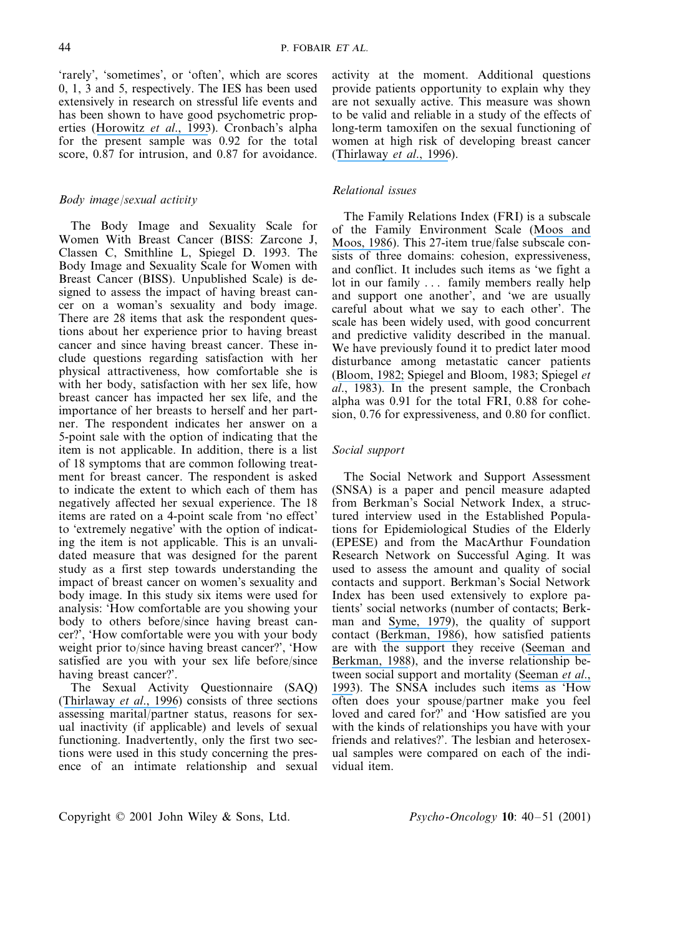'rarely', 'sometimes', or 'often', which are scores 0, 1, 3 and 5, respectively. The IES has been used extensively in research on stressful life events and has been shown to have good psychometric properties (Horowitz *et al*., 1993). Cronbach's alpha for the present sample was 0.92 for the total score,  $0.\overline{87}$  for intrusion, and  $0.87$  for avoidance.

#### *Body image*/*sexual activity*

The Body Image and Sexuality Scale for Women With Breast Cancer (BISS: Zarcone J, Classen C, Smithline L, Spiegel D. 1993. The Body Image and Sexuality Scale for Women with Breast Cancer (BISS). Unpublished Scale) is designed to assess the impact of having breast cancer on a woman's sexuality and body image. There are 28 items that ask the respondent questions about her experience prior to having breast cancer and since having breast cancer. These include questions regarding satisfaction with her physical attractiveness, how comfortable she is with her body, satisfaction with her sex life, how breast cancer has impacted her sex life, and the importance of her breasts to herself and her partner. The respondent indicates her answer on a 5-point sale with the option of indicating that the item is not applicable. In addition, there is a list of 18 symptoms that are common following treatment for breast cancer. The respondent is asked to indicate the extent to which each of them has negatively affected her sexual experience. The 18 items are rated on a 4-point scale from 'no effect' to 'extremely negative' with the option of indicating the item is not applicable. This is an unvalidated measure that was designed for the parent study as a first step towards understanding the impact of breast cancer on women's sexuality and body image. In this study six items were used for analysis: 'How comfortable are you showing your body to others before/since having breast cancer?', 'How comfortable were you with your body weight prior to/since having breast cancer?', 'How satisfied are you with your sex life before/since having breast cancer?'.

The Sexual Activity Questionnaire (SAQ) (Thirlaway *et al*., 1996) consists of three sections assessing marital/partner status, reasons for sexual inactivity (if applicable) and levels of sexual functioning. Inadvertently, only the first two sections were used in this study concerning the presence of an intimate relationship and sexual activity at the moment. Additional questions provide patients opportunity to explain why they are not sexually active. This measure was shown to be valid and reliable in a study of the effects of long-term tamoxifen on the sexual functioning of women at high risk of developing breast cancer (Thirlaway *et al*., 1996).

#### *Relational issues*

The Family Relations Index (FRI) is a subscale of the Family Environment Scale (Moos and Moos, 1986). This 27-item true/false subscale consists of three domains: cohesion, expressiveness, and conflict. It includes such items as 'we fight a lot in our family . . . family members really help and support one another', and 'we are usually careful about what we say to each other'. The scale has been widely used, with good concurrent and predictive validity described in the manual. We have previously found it to predict later mood disturbance among metastatic cancer patients (Bloom, 1982; Spiegel and Bloom, 1983; Spiegel *et al*., 1983). In the present sample, the Cronbach alpha was 0.91 for the total FRI, 0.88 for cohesion, 0.76 for expressiveness, and 0.80 for conflict.

### *Social support*

The Social Network and Support Assessment (SNSA) is a paper and pencil measure adapted from Berkman's Social Network Index, a structured interview used in the Established Populations for Epidemiological Studies of the Elderly (EPESE) and from the MacArthur Foundation Research Network on Successful Aging. It was used to assess the amount and quality of social contacts and support. Berkman's Social Network Index has been used extensively to explore patients' social networks (number of contacts; Berkman and Syme, 1979), the quality of support contact (Berkman, 1986), how satisfied patients are with the support they receive (Seeman and Berkman, 1988), and the inverse relationship between social support and mortality (Seeman *et al*., 1993). The SNSA includes such items as 'How often does your spouse/partner make you feel loved and cared for?' and 'How satisfied are you with the kinds of relationships you have with your friends and relatives?'. The lesbian and heterosexual samples were compared on each of the individual item.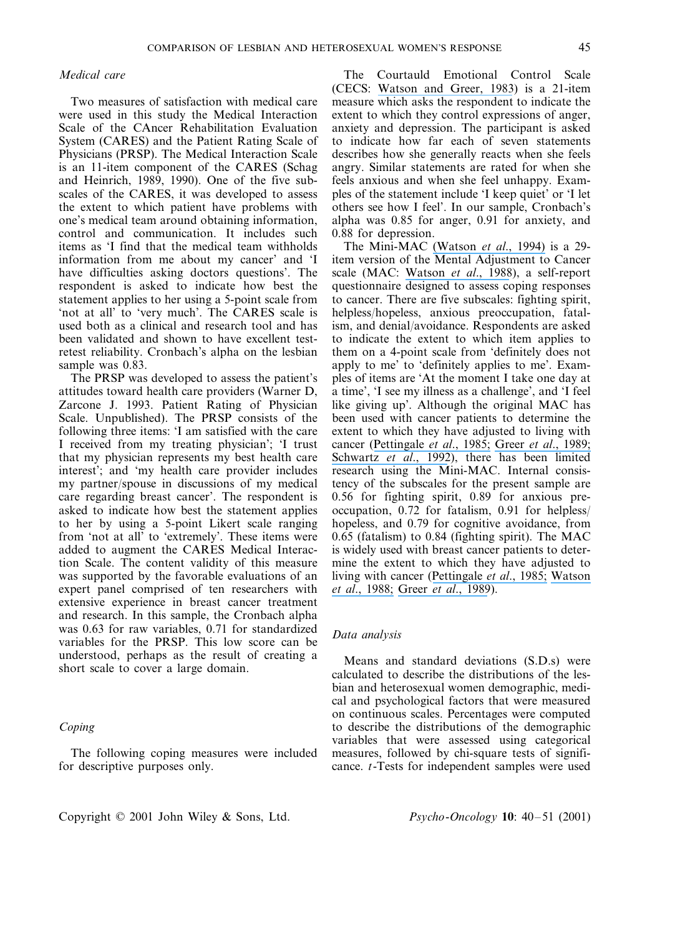## *Medical care*

Two measures of satisfaction with medical care were used in this study the Medical Interaction Scale of the CAncer Rehabilitation Evaluation System (CARES) and the Patient Rating Scale of Physicians (PRSP). The Medical Interaction Scale is an 11-item component of the CARES (Schag and Heinrich, 1989, 1990). One of the five subscales of the CARES, it was developed to assess the extent to which patient have problems with one's medical team around obtaining information, control and communication. It includes such items as 'I find that the medical team withholds information from me about my cancer' and 'I have difficulties asking doctors questions'. The respondent is asked to indicate how best the statement applies to her using a 5-point scale from 'not at all' to 'very much'. The CARES scale is used both as a clinical and research tool and has been validated and shown to have excellent testretest reliability. Cronbach's alpha on the lesbian sample was 0.83.

The PRSP was developed to assess the patient's attitudes toward health care providers (Warner D, Zarcone J. 1993. Patient Rating of Physician Scale. Unpublished). The PRSP consists of the following three items: 'I am satisfied with the care I received from my treating physician'; 'I trust that my physician represents my best health care interest'; and 'my health care provider includes my partner/spouse in discussions of my medical care regarding breast cancer'. The respondent is asked to indicate how best the statement applies to her by using a 5-point Likert scale ranging from 'not at all' to 'extremely'. These items were added to augment the CARES Medical Interaction Scale. The content validity of this measure was supported by the favorable evaluations of an expert panel comprised of ten researchers with extensive experience in breast cancer treatment and research. In this sample, the Cronbach alpha was 0.63 for raw variables, 0.71 for standardized variables for the PRSP. This low score can be understood, perhaps as the result of creating a short scale to cover a large domain.

## *Coping*

The following coping measures were included for descriptive purposes only.

The Courtauld Emotional Control Scale (CECS: Watson and Greer, 1983) is a 21-item measure which asks the respondent to indicate the extent to which they control expressions of anger, anxiety and depression. The participant is asked to indicate how far each of seven statements describes how she generally reacts when she feels angry. Similar statements are rated for when she feels anxious and when she feel unhappy. Examples of the statement include 'I keep quiet' or 'I let others see how I feel'. In our sample, Cronbach's alpha was 0.85 for anger, 0.91 for anxiety, and 0.88 for depression.

The Mini-MAC (Watson *et al*., 1994) is a 29 item version of the Mental Adjustment to Cancer scale (MAC: Watson *et al.*, 1988), a self-report questionnaire designed to assess coping responses to cancer. There are five subscales: fighting spirit, helpless/hopeless, anxious preoccupation, fatalism, and denial/avoidance. Respondents are asked to indicate the extent to which item applies to them on a 4-point scale from 'definitely does not apply to me' to 'definitely applies to me'. Examples of items are 'At the moment I take one day at a time', 'I see my illness as a challenge', and 'I feel like giving up'. Although the original MAC has been used with cancer patients to determine the extent to which they have adjusted to living with cancer (Pettingale *et al*., 1985; Greer *et al*., 1989; Schwartz *et al*., 1992), there has been limited research using the Mini-MAC. Internal consistency of the subscales for the present sample are 0.56 for fighting spirit, 0.89 for anxious preoccupation, 0.72 for fatalism, 0.91 for helpless/ hopeless, and 0.79 for cognitive avoidance, from 0.65 (fatalism) to 0.84 (fighting spirit). The MAC is widely used with breast cancer patients to determine the extent to which they have adjusted to living with cancer (Pettingale *et al*., 1985; Watson *et al*., 1988; Greer *et al*., 1989).

## *Data analysis*

Means and standard deviations (S.D.s) were calculated to describe the distributions of the lesbian and heterosexual women demographic, medical and psychological factors that were measured on continuous scales. Percentages were computed to describe the distributions of the demographic variables that were assessed using categorical measures, followed by chi-square tests of significance. *t*-Tests for independent samples were used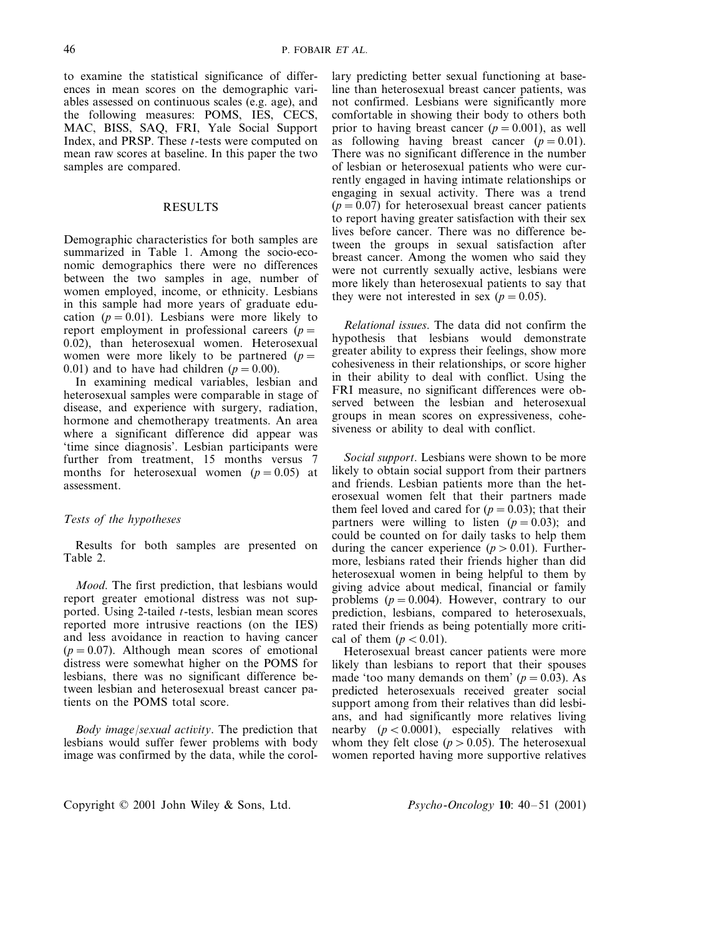to examine the statistical significance of differences in mean scores on the demographic variables assessed on continuous scales (e.g. age), and the following measures: POMS, IES, CECS, MAC, BISS, SAQ, FRI, Yale Social Support Index, and PRSP. These *t*-tests were computed on mean raw scores at baseline. In this paper the two samples are compared.

#### RESULTS

Demographic characteristics for both samples are summarized in Table 1. Among the socio-economic demographics there were no differences between the two samples in age, number of women employed, income, or ethnicity. Lesbians in this sample had more years of graduate education ( $p = 0.01$ ). Lesbians were more likely to report employment in professional careers ( $p=$ 0.02), than heterosexual women. Heterosexual women were more likely to be partnered  $(p =$ 0.01) and to have had children ( $p=0.00$ ).

In examining medical variables, lesbian and heterosexual samples were comparable in stage of disease, and experience with surgery, radiation, hormone and chemotherapy treatments. An area where a significant difference did appear was 'time since diagnosis'. Lesbian participants were further from treatment, 15 months versus 7 months for heterosexual women  $(p = 0.05)$  at assessment.

#### *Tests of the hypotheses*

Results for both samples are presented on Table 2.

*Mood*. The first prediction, that lesbians would report greater emotional distress was not supported. Using 2-tailed *t*-tests, lesbian mean scores reported more intrusive reactions (on the IES) and less avoidance in reaction to having cancer  $(p=0.07)$ . Although mean scores of emotional distress were somewhat higher on the POMS for lesbians, there was no significant difference between lesbian and heterosexual breast cancer patients on the POMS total score.

*Body image/sexual activity.* The prediction that lesbians would suffer fewer problems with body image was confirmed by the data, while the corollary predicting better sexual functioning at baseline than heterosexual breast cancer patients, was not confirmed. Lesbians were significantly more comfortable in showing their body to others both prior to having breast cancer  $(p = 0.001)$ , as well as following having breast cancer  $(p = 0.01)$ . There was no significant difference in the number of lesbian or heterosexual patients who were currently engaged in having intimate relationships or engaging in sexual activity. There was a trend  $(p = 0.07)$  for heterosexual breast cancer patients to report having greater satisfaction with their sex lives before cancer. There was no difference between the groups in sexual satisfaction after breast cancer. Among the women who said they were not currently sexually active, lesbians were more likely than heterosexual patients to say that they were not interested in sex ( $p=0.05$ ).

*Relational issues*. The data did not confirm the hypothesis that lesbians would demonstrate greater ability to express their feelings, show more cohesiveness in their relationships, or score higher in their ability to deal with conflict. Using the FRI measure, no significant differences were observed between the lesbian and heterosexual groups in mean scores on expressiveness, cohesiveness or ability to deal with conflict.

*Social support*. Lesbians were shown to be more likely to obtain social support from their partners and friends. Lesbian patients more than the heterosexual women felt that their partners made them feel loved and cared for  $(p = 0.03)$ ; that their partners were willing to listen  $(p=0.03)$ ; and could be counted on for daily tasks to help them during the cancer experience  $(p > 0.01)$ . Furthermore, lesbians rated their friends higher than did heterosexual women in being helpful to them by giving advice about medical, financial or family problems  $(p = 0.004)$ . However, contrary to our prediction, lesbians, compared to heterosexuals, rated their friends as being potentially more critical of them  $(p < 0.01)$ .

Heterosexual breast cancer patients were more likely than lesbians to report that their spouses made 'too many demands on them'  $(p = 0.03)$ . As predicted heterosexuals received greater social support among from their relatives than did lesbians, and had significantly more relatives living nearby  $(p < 0.0001)$ , especially relatives with whom they felt close ( $p > 0.05$ ). The heterosexual women reported having more supportive relatives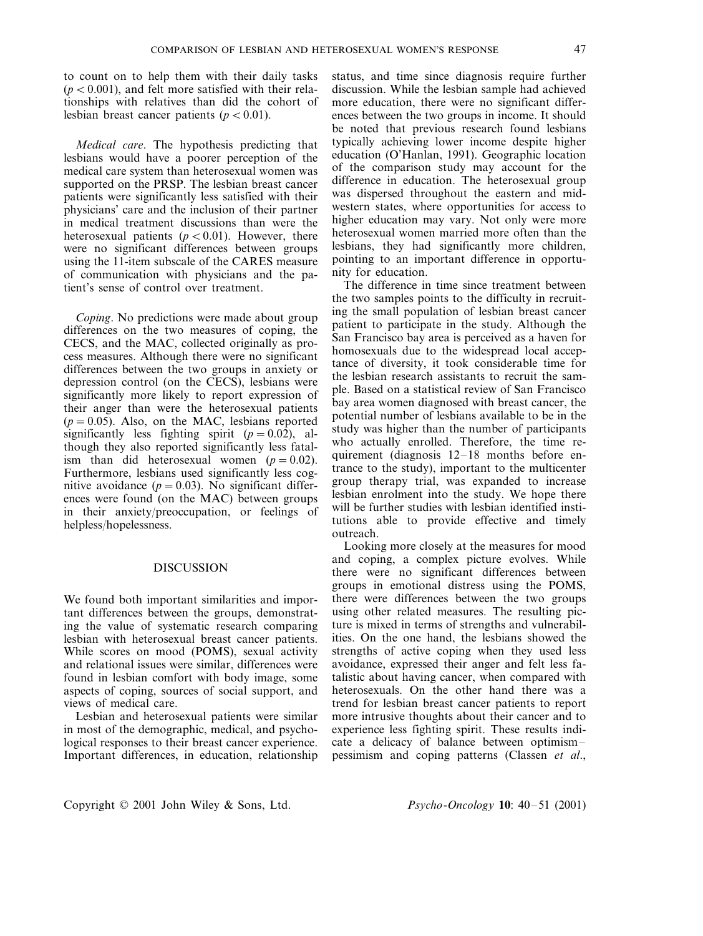to count on to help them with their daily tasks  $(p < 0.001)$ , and felt more satisfied with their relationships with relatives than did the cohort of lesbian breast cancer patients ( $p < 0.01$ ).

*Medical care*. The hypothesis predicting that lesbians would have a poorer perception of the medical care system than heterosexual women was supported on the PRSP. The lesbian breast cancer patients were significantly less satisfied with their physicians' care and the inclusion of their partner in medical treatment discussions than were the heterosexual patients  $(p < 0.01)$ . However, there were no significant differences between groups using the 11-item subscale of the CARES measure of communication with physicians and the patient's sense of control over treatment.

*Coping*. No predictions were made about group differences on the two measures of coping, the CECS, and the MAC, collected originally as process measures. Although there were no significant differences between the two groups in anxiety or depression control (on the CECS), lesbians were significantly more likely to report expression of their anger than were the heterosexual patients  $(p = 0.05)$ . Also, on the MAC, lesbians reported significantly less fighting spirit  $(p=0.02)$ , although they also reported significantly less fatalism than did heterosexual women  $(p=0.02)$ . Furthermore, lesbians used significantly less cognitive avoidance  $(p = 0.03)$ . No significant differences were found (on the MAC) between groups in their anxiety/preoccupation, or feelings of helpless/hopelessness.

#### DISCUSSION

We found both important similarities and important differences between the groups, demonstrating the value of systematic research comparing lesbian with heterosexual breast cancer patients. While scores on mood (POMS), sexual activity and relational issues were similar, differences were found in lesbian comfort with body image, some aspects of coping, sources of social support, and views of medical care.

Lesbian and heterosexual patients were similar in most of the demographic, medical, and psychological responses to their breast cancer experience. Important differences, in education, relationship status, and time since diagnosis require further discussion. While the lesbian sample had achieved more education, there were no significant differences between the two groups in income. It should be noted that previous research found lesbians typically achieving lower income despite higher education (O'Hanlan, 1991). Geographic location of the comparison study may account for the difference in education. The heterosexual group was dispersed throughout the eastern and midwestern states, where opportunities for access to higher education may vary. Not only were more heterosexual women married more often than the lesbians, they had significantly more children, pointing to an important difference in opportunity for education.

The difference in time since treatment between the two samples points to the difficulty in recruiting the small population of lesbian breast cancer patient to participate in the study. Although the San Francisco bay area is perceived as a haven for homosexuals due to the widespread local acceptance of diversity, it took considerable time for the lesbian research assistants to recruit the sample. Based on a statistical review of San Francisco bay area women diagnosed with breast cancer, the potential number of lesbians available to be in the study was higher than the number of participants who actually enrolled. Therefore, the time requirement (diagnosis 12–18 months before entrance to the study), important to the multicenter group therapy trial, was expanded to increase lesbian enrolment into the study. We hope there will be further studies with lesbian identified institutions able to provide effective and timely outreach.

Looking more closely at the measures for mood and coping, a complex picture evolves. While there were no significant differences between groups in emotional distress using the POMS, there were differences between the two groups using other related measures. The resulting picture is mixed in terms of strengths and vulnerabilities. On the one hand, the lesbians showed the strengths of active coping when they used less avoidance, expressed their anger and felt less fatalistic about having cancer, when compared with heterosexuals. On the other hand there was a trend for lesbian breast cancer patients to report more intrusive thoughts about their cancer and to experience less fighting spirit. These results indicate a delicacy of balance between optimism– pessimism and coping patterns (Classen *et al*.,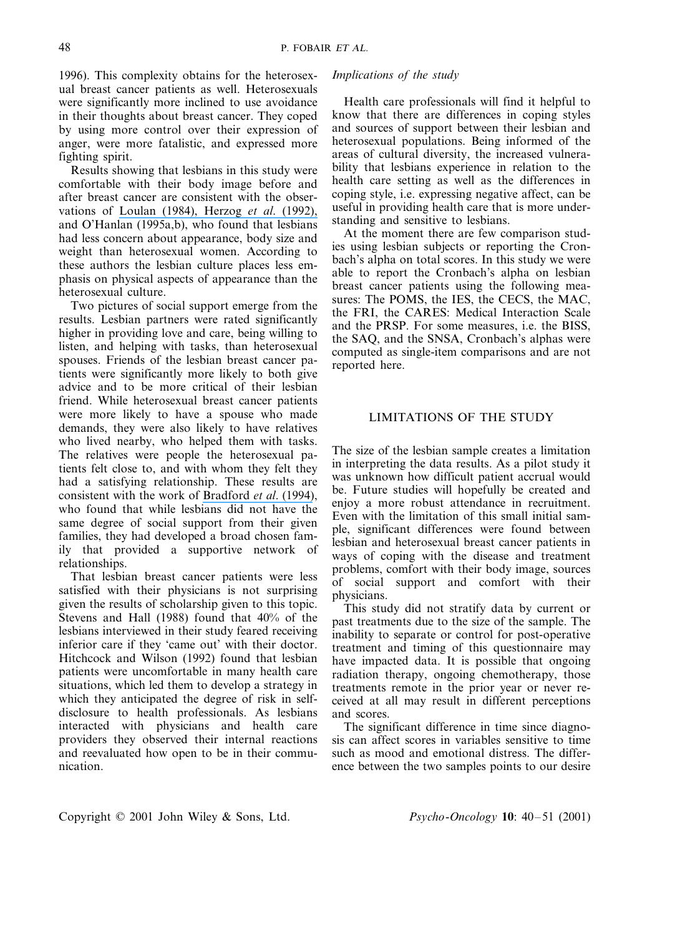1996). This complexity obtains for the heterosexual breast cancer patients as well. Heterosexuals were significantly more inclined to use avoidance in their thoughts about breast cancer. They coped by using more control over their expression of anger, were more fatalistic, and expressed more fighting spirit.

Results showing that lesbians in this study were comfortable with their body image before and after breast cancer are consistent with the observations of Loulan (1984), Herzog *et al*. (1992), and O'Hanlan (1995a,b), who found that lesbians had less concern about appearance, body size and weight than heterosexual women. According to these authors the lesbian culture places less emphasis on physical aspects of appearance than the heterosexual culture.

Two pictures of social support emerge from the results. Lesbian partners were rated significantly higher in providing love and care, being willing to listen, and helping with tasks, than heterosexual spouses. Friends of the lesbian breast cancer patients were significantly more likely to both give advice and to be more critical of their lesbian friend. While heterosexual breast cancer patients were more likely to have a spouse who made demands, they were also likely to have relatives who lived nearby, who helped them with tasks. The relatives were people the heterosexual patients felt close to, and with whom they felt they had a satisfying relationship. These results are consistent with the work of Bradford *et al*. (1994), who found that while lesbians did not have the same degree of social support from their given families, they had developed a broad chosen family that provided a supportive network of relationships.

That lesbian breast cancer patients were less satisfied with their physicians is not surprising given the results of scholarship given to this topic. Stevens and Hall (1988) found that 40% of the lesbians interviewed in their study feared receiving inferior care if they 'came out' with their doctor. Hitchcock and Wilson (1992) found that lesbian patients were uncomfortable in many health care situations, which led them to develop a strategy in which they anticipated the degree of risk in selfdisclosure to health professionals. As lesbians interacted with physicians and health care providers they observed their internal reactions and reevaluated how open to be in their communication.

#### *Implications of the study*

Health care professionals will find it helpful to know that there are differences in coping styles and sources of support between their lesbian and heterosexual populations. Being informed of the areas of cultural diversity, the increased vulnerability that lesbians experience in relation to the health care setting as well as the differences in coping style, i.e. expressing negative affect, can be useful in providing health care that is more understanding and sensitive to lesbians.

At the moment there are few comparison studies using lesbian subjects or reporting the Cronbach's alpha on total scores. In this study we were able to report the Cronbach's alpha on lesbian breast cancer patients using the following measures: The POMS, the IES, the CECS, the MAC, the FRI, the CARES: Medical Interaction Scale and the PRSP. For some measures, i.e. the BISS, the SAQ, and the SNSA, Cronbach's alphas were computed as single-item comparisons and are not reported here.

# LIMITATIONS OF THE STUDY

The size of the lesbian sample creates a limitation in interpreting the data results. As a pilot study it was unknown how difficult patient accrual would be. Future studies will hopefully be created and enjoy a more robust attendance in recruitment. Even with the limitation of this small initial sample, significant differences were found between lesbian and heterosexual breast cancer patients in ways of coping with the disease and treatment problems, comfort with their body image, sources of social support and comfort with their physicians.

This study did not stratify data by current or past treatments due to the size of the sample. The inability to separate or control for post-operative treatment and timing of this questionnaire may have impacted data. It is possible that ongoing radiation therapy, ongoing chemotherapy, those treatments remote in the prior year or never received at all may result in different perceptions and scores.

The significant difference in time since diagnosis can affect scores in variables sensitive to time such as mood and emotional distress. The difference between the two samples points to our desire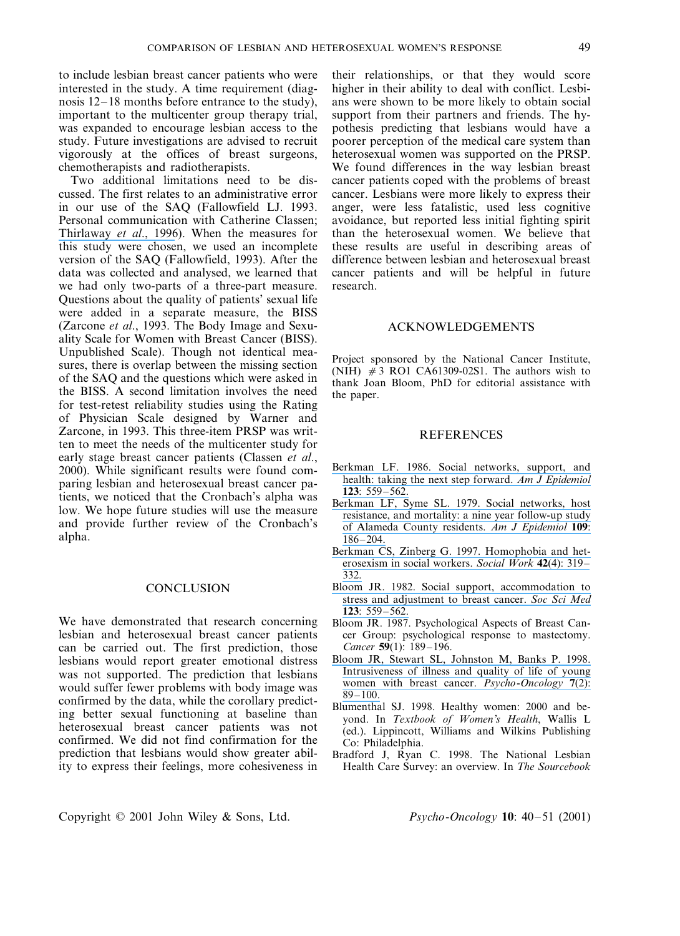to include lesbian breast cancer patients who were interested in the study. A time requirement (diagnosis 12–18 months before entrance to the study), important to the multicenter group therapy trial, was expanded to encourage lesbian access to the study. Future investigations are advised to recruit vigorously at the offices of breast surgeons, chemotherapists and radiotherapists.

Two additional limitations need to be discussed. The first relates to an administrative error in our use of the SAQ (Fallowfield LJ. 1993. Personal communication with Catherine Classen; Thirlaway *et al*., 1996). When the measures for this study were chosen, we used an incomplete version of the SAQ (Fallowfield, 1993). After the data was collected and analysed, we learned that we had only two-parts of a three-part measure. Questions about the quality of patients' sexual life were added in a separate measure, the BISS (Zarcone *et al*., 1993. The Body Image and Sexuality Scale for Women with Breast Cancer (BISS). Unpublished Scale). Though not identical measures, there is overlap between the missing section of the SAQ and the questions which were asked in the BISS. A second limitation involves the need for test-retest reliability studies using the Rating of Physician Scale designed by Warner and Zarcone, in 1993. This three-item PRSP was written to meet the needs of the multicenter study for early stage breast cancer patients (Classen *et al*., 2000). While significant results were found comparing lesbian and heterosexual breast cancer patients, we noticed that the Cronbach's alpha was low. We hope future studies will use the measure and provide further review of the Cronbach's alpha.

#### **CONCLUSION**

We have demonstrated that research concerning lesbian and heterosexual breast cancer patients can be carried out. The first prediction, those lesbians would report greater emotional distress was not supported. The prediction that lesbians would suffer fewer problems with body image was confirmed by the data, while the corollary predicting better sexual functioning at baseline than heterosexual breast cancer patients was not confirmed. We did not find confirmation for the prediction that lesbians would show greater ability to express their feelings, more cohesiveness in

their relationships, or that they would score higher in their ability to deal with conflict. Lesbians were shown to be more likely to obtain social support from their partners and friends. The hypothesis predicting that lesbians would have a poorer perception of the medical care system than heterosexual women was supported on the PRSP. We found differences in the way lesbian breast cancer patients coped with the problems of breast cancer. Lesbians were more likely to express their anger, were less fatalistic, used less cognitive avoidance, but reported less initial fighting spirit than the heterosexual women. We believe that these results are useful in describing areas of difference between lesbian and heterosexual breast cancer patients and will be helpful in future research.

#### ACKNOWLEDGEMENTS

Project sponsored by the National Cancer Institute, (NIH)  $\neq$  3 RO1 CA61309-02S1. The authors wish to thank Joan Bloom, PhD for editorial assistance with the paper.

#### REFERENCES

- Berkman LF. 1986. Social networks, support, and health: taking the next step forward. *Am J Epidemiol* **123**: 559–562.
- Berkman LF, Syme SL. 1979. Social networks, host resistance, and mortality: a nine year follow-up study of Alameda County residents. *Am J Epidemiol* **109**: 186–204.
- Berkman CS, Zinberg G. 1997. Homophobia and heterosexism in social workers. *Social Work* **42**(4): 319– 332.
- Bloom JR. 1982. Social support, accommodation to stress and adjustment to breast cancer. *Soc Sci Med* **123**: 559–562.
- Bloom JR. 1987. Psychological Aspects of Breast Cancer Group: psychological response to mastectomy. *Cancer* **59**(1): 189–196.
- Bloom JR, Stewart SL, Johnston M, Banks P. 1998. Intrusiveness of illness and quality of life of young women with breast cancer. *Psycho*-*Oncology* **7**(2): 89–100.
- Blumenthal SJ. 1998. Healthy women: 2000 and beyond. In *Textbook of Women*'*s Health*, Wallis L (ed.). Lippincott, Williams and Wilkins Publishing Co: Philadelphia.
- Bradford J, Ryan C. 1998. The National Lesbian Health Care Survey: an overview. In *The Sourcebook*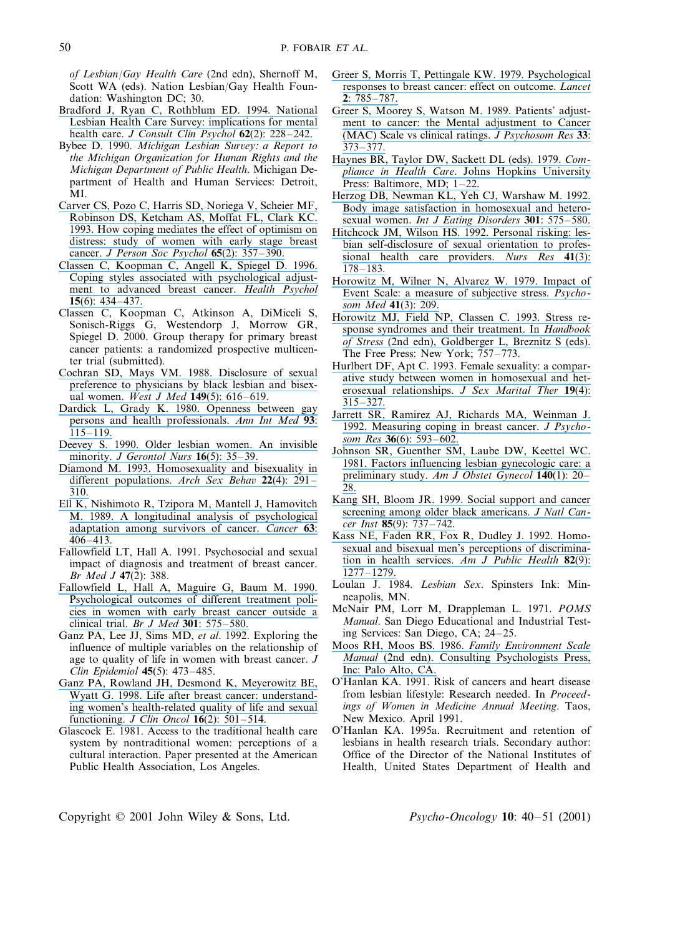*of Lesbian*/*Gay Health Care* (2nd edn), Shernoff M, Scott WA (eds). Nation Lesbian/Gay Health Foundation: Washington DC; 30.

- Bradford J, Ryan C, Rothblum ED. 1994. National Lesbian Health Care Survey: implications for mental health care. *J Consult Clin Psychol* **62**(2): 228–242.
- Bybee D. 1990. *Michigan Lesbian Survey: a Report to the Michigan Organization for Human Rights and the Michigan Department of Public Health*. Michigan Department of Health and Human Services: Detroit, MI.
- Carver CS, Pozo C, Harris SD, Noriega V, Scheier MF, Robinson DS, Ketcham AS, Moffat FL, Clark KC. 1993. How coping mediates the effect of optimism on distress: study of women with early stage breast cancer. *J Person Soc Psychol* **65**(2): 357–390.
- Classen C, Koopman C, Angell K, Spiegel D. 1996. Coping styles associated with psychological adjustment to advanced breast cancer. *Health Psychol* **15**(6): 434–437.
- Classen C, Koopman C, Atkinson A, DiMiceli S, Sonisch-Riggs G, Westendorp J, Morrow GR, Spiegel D. 2000. Group therapy for primary breast cancer patients: a randomized prospective multicenter trial (submitted).
- Cochran SD, Mays VM. 1988. Disclosure of sexual preference to physicians by black lesbian and bisexual women. *West J Med* **149**(5): 616–619.
- Dardick L, Grady K. 1980. Openness between gay persons and health professionals. *Ann Int Med* **93**: 115–119.
- Deevey S. 1990. Older lesbian women. An invisible minority. *J Gerontol Nurs* **16**(5): 35–39.
- Diamond M. 1993. Homosexuality and bisexuality in different populations. *Arch Sex Behav* 22(4): 291– 310.
- Ell  $\overline{K}$ , Nishimoto R, Tzipora M, Mantell J, Hamovitch M. 1989. A longitudinal analysis of psychological adaptation among survivors of cancer. *Cancer* **63**: 406–413.
- Fallowfield LT, Hall A. 1991. Psychosocial and sexual impact of diagnosis and treatment of breast cancer. *Br Med J* **47**(2): 388.
- Fallowfield L, Hall A, Maguire G, Baum M. 1990. Psychological outcomes of different treatment policies in women with early breast cancer outside a clinical trial. *Br J Med* **301**: 575–580.
- Ganz PA, Lee JJ, Sims MD, *et al*. 1992. Exploring the influence of multiple variables on the relationship of age to quality of life in women with breast cancer. *J Clin Epidemiol* **45**(5): 473–485.
- Ganz PA, Rowland JH, Desmond K, Meyerowitz BE, Wyatt G. 1998. Life after breast cancer: understanding women's health-related quality of life and sexual functioning. *J Clin Oncol* **16**(2): 501–514.
- Glascock E. 1981. Access to the traditional health care system by nontraditional women: perceptions of a cultural interaction. Paper presented at the American Public Health Association, Los Angeles.
- Greer S, Morris T, Pettingale KW. 1979. Psychological responses to breast cancer: effect on outcome. *Lancet* **2**: 785–787.
- Greer S, Moorey S, Watson M. 1989. Patients' adjustment to cancer: the Mental adjustment to Cancer (MAC) Scale vs clinical ratings. *J Psychosom Res* **33**: 373–377.
- Haynes BR, Taylor DW, Sackett DL (eds). 1979. *Compliance in Health Care*. Johns Hopkins University Press: Baltimore, MD; 1–22.
- Herzog DB, Newman KL, Yeh CJ, Warshaw M. 1992. Body image satisfaction in homosexual and heterosexual women. *Int J Eating Disorders* **301**: 575–580.
- Hitchcock JM, Wilson HS. 1992. Personal risking: lesbian self-disclosure of sexual orientation to professional health care providers. *Nurs Res* **41**(3): 178–183.
- Horowitz M, Wilner N, Alvarez W. 1979. Impact of Event Scale: a measure of subjective stress. *Psychosom Med* **41**(3): 209.
- Horowitz MJ, Field NP, Classen C. 1993. Stress response syndromes and their treatment. In *Handbook of Stress* (2nd edn), Goldberger L, Breznitz S (eds). The Free Press: New York; 757–773.
- Hurlbert DF, Apt C. 1993. Female sexuality: a comparative study between women in homosexual and heterosexual relationships. *J Sex Marital Ther* **19**(4): 315–327.
- Jarrett SR, Ramirez AJ, Richards MA, Weinman J. 1992. Measuring coping in breast cancer. *J Psychosom Res* **36**(6): 593–602.
- Johnson SR, Guenther SM, Laube DW, Keettel WC. 1981. Factors influencing lesbian gynecologic care: a preliminary study. *Am J Obstet Gynecol* **140**(1): 20– 28.
- Kang SH, Bloom JR. 1999. Social support and cancer screening among older black americans. *J Natl Cancer Inst* **85**(9): 737–742.
- Kass NE, Faden RR, Fox R, Dudley J. 1992. Homosexual and bisexual men's perceptions of discrimination in health services. *Am J Public Health* **82**(9): 1277–1279.
- Loulan J. 1984. *Lesbian Sex*. Spinsters Ink: Minneapolis, MN.
- McNair PM, Lorr M, Drappleman L. 1971. *POMS Manual*. San Diego Educational and Industrial Testing Services: San Diego, CA; 24–25.
- Moos RH, Moos BS. 1986. *Family Environment Scale Manual* (2nd edn). Consulting Psychologists Press, Inc: Palo Alto, CA.
- O'Hanlan KA. 1991. Risk of cancers and heart disease from lesbian lifestyle: Research needed. In *Proceedings of Women in Medicine Annual Meeting*. Taos, New Mexico. April 1991.
- O'Hanlan KA. 1995a. Recruitment and retention of lesbians in health research trials. Secondary author: Office of the Director of the National Institutes of Health, United States Department of Health and